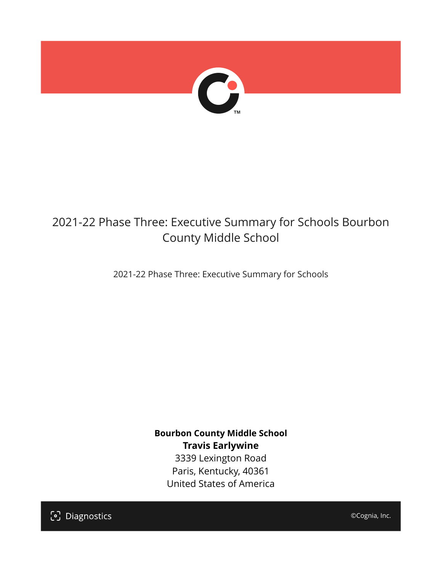

## 2021-22 Phase Three: Executive Summary for Schools Bourbon County Middle School

2021-22 Phase Three: Executive Summary for Schools

**Bourbon County Middle School Travis Earlywine** 3339 Lexington Road Paris, Kentucky, 40361 United States of America

[၁] Diagnostics

©Cognia, Inc.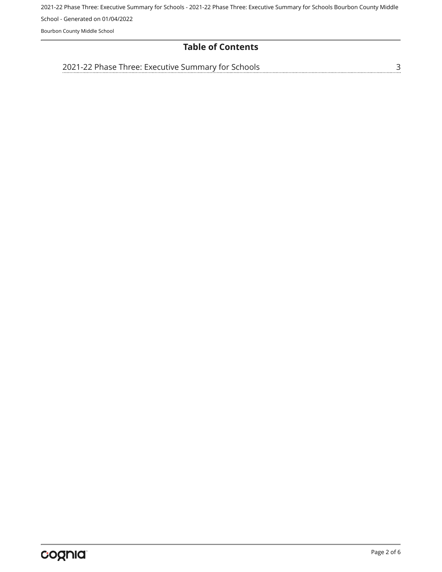2021-22 Phase Three: Executive Summary for Schools - 2021-22 Phase Three: Executive Summary for Schools Bourbon County Middle

School - Generated on 01/04/2022

Bourbon County Middle School

#### **Table of Contents**

[2021-22 Phase Three: Executive Summary for Schools](#page-2-0)

[3](#page-2-0)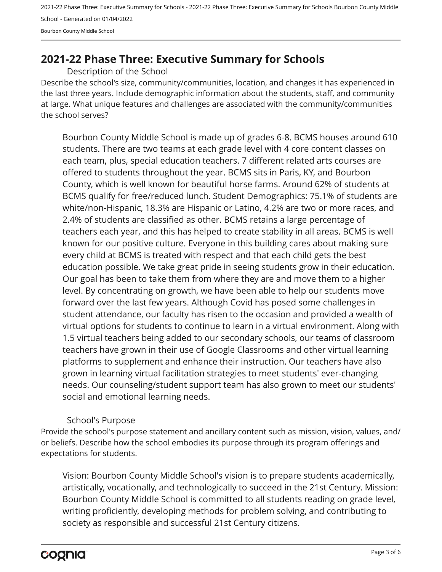2021-22 Phase Three: Executive Summary for Schools - 2021-22 Phase Three: Executive Summary for Schools Bourbon County Middle School - Generated on 01/04/2022 Bourbon County Middle School

### <span id="page-2-0"></span>**2021-22 Phase Three: Executive Summary for Schools**

Description of the School

Describe the school's size, community/communities, location, and changes it has experienced in the last three years. Include demographic information about the students, staff, and community at large. What unique features and challenges are associated with the community/communities the school serves?

Bourbon County Middle School is made up of grades 6-8. BCMS houses around 610 students. There are two teams at each grade level with 4 core content classes on each team, plus, special education teachers. 7 different related arts courses are offered to students throughout the year. BCMS sits in Paris, KY, and Bourbon County, which is well known for beautiful horse farms. Around 62% of students at BCMS qualify for free/reduced lunch. Student Demographics: 75.1% of students are white/non-Hispanic, 18.3% are Hispanic or Latino, 4.2% are two or more races, and 2.4% of students are classified as other. BCMS retains a large percentage of teachers each year, and this has helped to create stability in all areas. BCMS is well known for our positive culture. Everyone in this building cares about making sure every child at BCMS is treated with respect and that each child gets the best education possible. We take great pride in seeing students grow in their education. Our goal has been to take them from where they are and move them to a higher level. By concentrating on growth, we have been able to help our students move forward over the last few years. Although Covid has posed some challenges in student attendance, our faculty has risen to the occasion and provided a wealth of virtual options for students to continue to learn in a virtual environment. Along with 1.5 virtual teachers being added to our secondary schools, our teams of classroom teachers have grown in their use of Google Classrooms and other virtual learning platforms to supplement and enhance their instruction. Our teachers have also grown in learning virtual facilitation strategies to meet students' ever-changing needs. Our counseling/student support team has also grown to meet our students' social and emotional learning needs.

#### School's Purpose

Provide the school's purpose statement and ancillary content such as mission, vision, values, and/ or beliefs. Describe how the school embodies its purpose through its program offerings and expectations for students.

Vision: Bourbon County Middle School's vision is to prepare students academically, artistically, vocationally, and technologically to succeed in the 21st Century. Mission: Bourbon County Middle School is committed to all students reading on grade level, writing proficiently, developing methods for problem solving, and contributing to society as responsible and successful 21st Century citizens.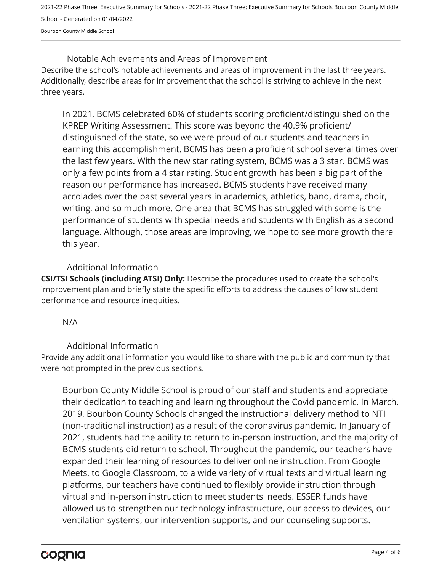2021-22 Phase Three: Executive Summary for Schools - 2021-22 Phase Three: Executive Summary for Schools Bourbon County Middle School - Generated on 01/04/2022 Bourbon County Middle School

Describe the school's notable achievements and areas of improvement in the last three years. Additionally, describe areas for improvement that the school is striving to achieve in the next three years. Notable Achievements and Areas of Improvement

In 2021, BCMS celebrated 60% of students scoring proficient/distinguished on the KPREP Writing Assessment. This score was beyond the 40.9% proficient/ distinguished of the state, so we were proud of our students and teachers in earning this accomplishment. BCMS has been a proficient school several times over the last few years. With the new star rating system, BCMS was a 3 star. BCMS was only a few points from a 4 star rating. Student growth has been a big part of the reason our performance has increased. BCMS students have received many accolades over the past several years in academics, athletics, band, drama, choir, writing, and so much more. One area that BCMS has struggled with some is the performance of students with special needs and students with English as a second language. Although, those areas are improving, we hope to see more growth there this year.

#### Additional Information

**CSI/TSI Schools (including ATSI) Only:** Describe the procedures used to create the school's improvement plan and briefly state the specific efforts to address the causes of low student performance and resource inequities.

#### N/A

#### Additional Information

Provide any additional information you would like to share with the public and community that were not prompted in the previous sections.

Bourbon County Middle School is proud of our staff and students and appreciate their dedication to teaching and learning throughout the Covid pandemic. In March, 2019, Bourbon County Schools changed the instructional delivery method to NTI (non-traditional instruction) as a result of the coronavirus pandemic. In January of 2021, students had the ability to return to in-person instruction, and the majority of BCMS students did return to school. Throughout the pandemic, our teachers have expanded their learning of resources to deliver online instruction. From Google Meets, to Google Classroom, to a wide variety of virtual texts and virtual learning platforms, our teachers have continued to flexibly provide instruction through virtual and in-person instruction to meet students' needs. ESSER funds have allowed us to strengthen our technology infrastructure, our access to devices, our ventilation systems, our intervention supports, and our counseling supports.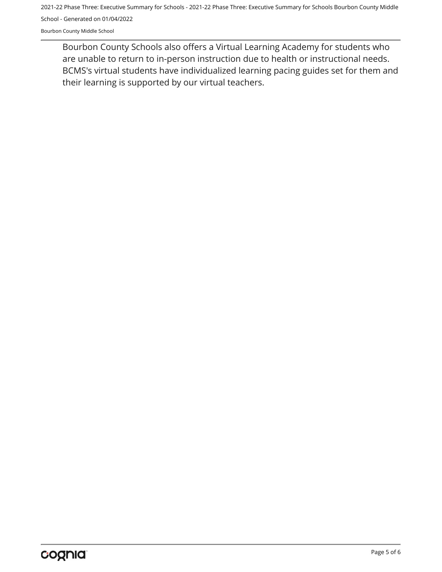2021-22 Phase Three: Executive Summary for Schools - 2021-22 Phase Three: Executive Summary for Schools Bourbon County Middle School - Generated on 01/04/2022

Bourbon County Middle School

Bourbon County Schools also offers a Virtual Learning Academy for students who are unable to return to in-person instruction due to health or instructional needs. BCMS's virtual students have individualized learning pacing guides set for them and their learning is supported by our virtual teachers.